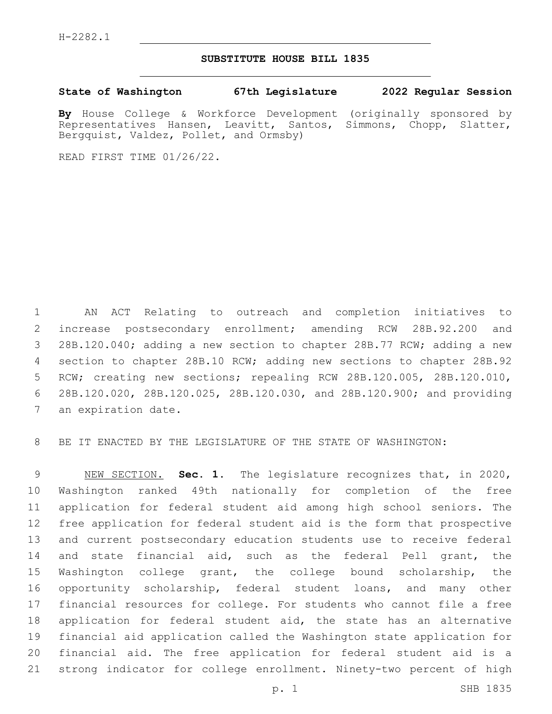## **SUBSTITUTE HOUSE BILL 1835**

**State of Washington 67th Legislature 2022 Regular Session**

**By** House College & Workforce Development (originally sponsored by Representatives Hansen, Leavitt, Santos, Simmons, Chopp, Slatter, Bergquist, Valdez, Pollet, and Ormsby)

READ FIRST TIME 01/26/22.

 AN ACT Relating to outreach and completion initiatives to increase postsecondary enrollment; amending RCW 28B.92.200 and 28B.120.040; adding a new section to chapter 28B.77 RCW; adding a new section to chapter 28B.10 RCW; adding new sections to chapter 28B.92 RCW; creating new sections; repealing RCW 28B.120.005, 28B.120.010, 28B.120.020, 28B.120.025, 28B.120.030, and 28B.120.900; and providing 7 an expiration date.

BE IT ENACTED BY THE LEGISLATURE OF THE STATE OF WASHINGTON:

 NEW SECTION. **Sec. 1.** The legislature recognizes that, in 2020, Washington ranked 49th nationally for completion of the free application for federal student aid among high school seniors. The free application for federal student aid is the form that prospective and current postsecondary education students use to receive federal and state financial aid, such as the federal Pell grant, the Washington college grant, the college bound scholarship, the opportunity scholarship, federal student loans, and many other financial resources for college. For students who cannot file a free application for federal student aid, the state has an alternative financial aid application called the Washington state application for financial aid. The free application for federal student aid is a strong indicator for college enrollment. Ninety-two percent of high

p. 1 SHB 1835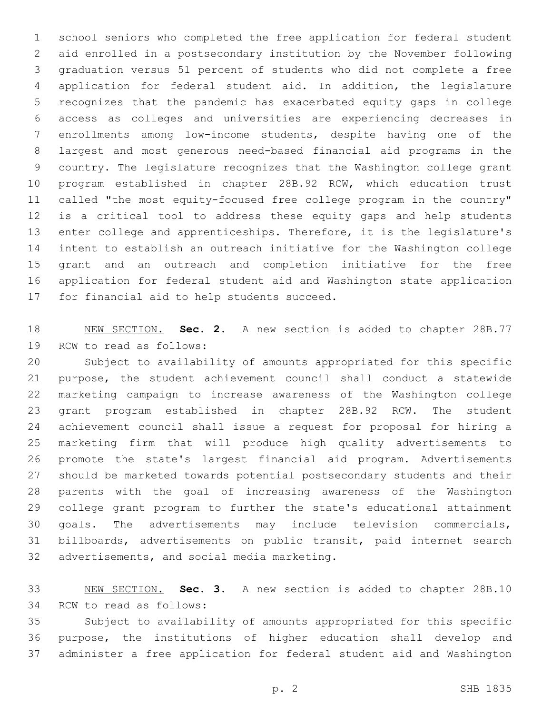school seniors who completed the free application for federal student aid enrolled in a postsecondary institution by the November following graduation versus 51 percent of students who did not complete a free application for federal student aid. In addition, the legislature recognizes that the pandemic has exacerbated equity gaps in college access as colleges and universities are experiencing decreases in enrollments among low-income students, despite having one of the largest and most generous need-based financial aid programs in the country. The legislature recognizes that the Washington college grant program established in chapter 28B.92 RCW, which education trust called "the most equity-focused free college program in the country" is a critical tool to address these equity gaps and help students enter college and apprenticeships. Therefore, it is the legislature's intent to establish an outreach initiative for the Washington college grant and an outreach and completion initiative for the free application for federal student aid and Washington state application 17 for financial aid to help students succeed.

 NEW SECTION. **Sec. 2.** A new section is added to chapter 28B.77 19 RCW to read as follows:

 Subject to availability of amounts appropriated for this specific purpose, the student achievement council shall conduct a statewide marketing campaign to increase awareness of the Washington college grant program established in chapter 28B.92 RCW. The student achievement council shall issue a request for proposal for hiring a marketing firm that will produce high quality advertisements to promote the state's largest financial aid program. Advertisements should be marketed towards potential postsecondary students and their parents with the goal of increasing awareness of the Washington college grant program to further the state's educational attainment goals. The advertisements may include television commercials, billboards, advertisements on public transit, paid internet search 32 advertisements, and social media marketing.

 NEW SECTION. **Sec. 3.** A new section is added to chapter 28B.10 34 RCW to read as follows:

 Subject to availability of amounts appropriated for this specific purpose, the institutions of higher education shall develop and administer a free application for federal student aid and Washington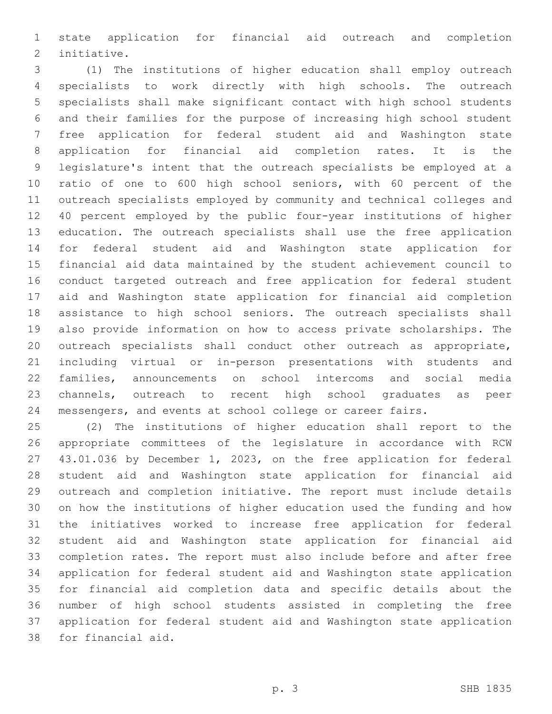state application for financial aid outreach and completion 2 initiative.

 (1) The institutions of higher education shall employ outreach specialists to work directly with high schools. The outreach specialists shall make significant contact with high school students and their families for the purpose of increasing high school student free application for federal student aid and Washington state application for financial aid completion rates. It is the legislature's intent that the outreach specialists be employed at a ratio of one to 600 high school seniors, with 60 percent of the outreach specialists employed by community and technical colleges and 40 percent employed by the public four-year institutions of higher education. The outreach specialists shall use the free application for federal student aid and Washington state application for financial aid data maintained by the student achievement council to conduct targeted outreach and free application for federal student aid and Washington state application for financial aid completion 18 assistance to high school seniors. The outreach specialists shall also provide information on how to access private scholarships. The outreach specialists shall conduct other outreach as appropriate, including virtual or in-person presentations with students and families, announcements on school intercoms and social media channels, outreach to recent high school graduates as peer messengers, and events at school college or career fairs.

 (2) The institutions of higher education shall report to the appropriate committees of the legislature in accordance with RCW 43.01.036 by December 1, 2023, on the free application for federal student aid and Washington state application for financial aid outreach and completion initiative. The report must include details on how the institutions of higher education used the funding and how the initiatives worked to increase free application for federal student aid and Washington state application for financial aid completion rates. The report must also include before and after free application for federal student aid and Washington state application for financial aid completion data and specific details about the number of high school students assisted in completing the free application for federal student aid and Washington state application 38 for financial aid.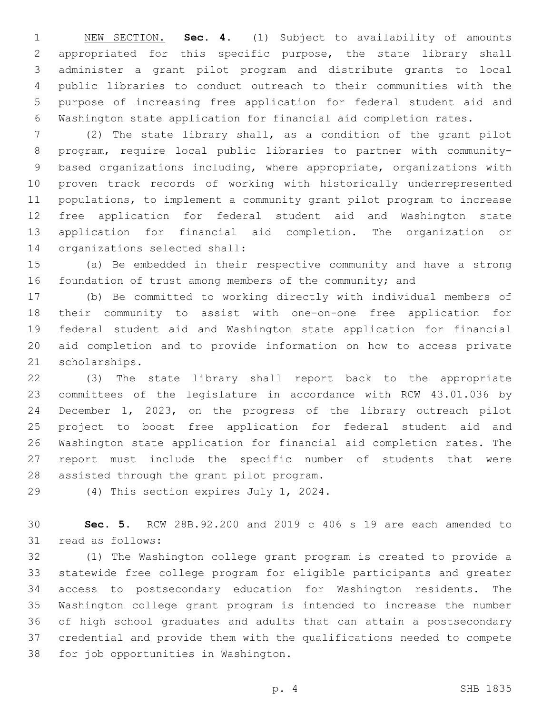NEW SECTION. **Sec. 4.** (1) Subject to availability of amounts appropriated for this specific purpose, the state library shall administer a grant pilot program and distribute grants to local public libraries to conduct outreach to their communities with the purpose of increasing free application for federal student aid and Washington state application for financial aid completion rates.

 (2) The state library shall, as a condition of the grant pilot program, require local public libraries to partner with community- based organizations including, where appropriate, organizations with proven track records of working with historically underrepresented populations, to implement a community grant pilot program to increase free application for federal student aid and Washington state application for financial aid completion. The organization or 14 organizations selected shall:

 (a) Be embedded in their respective community and have a strong 16 foundation of trust among members of the community; and

 (b) Be committed to working directly with individual members of their community to assist with one-on-one free application for federal student aid and Washington state application for financial aid completion and to provide information on how to access private 21 scholarships.

 (3) The state library shall report back to the appropriate committees of the legislature in accordance with RCW 43.01.036 by December 1, 2023, on the progress of the library outreach pilot project to boost free application for federal student aid and Washington state application for financial aid completion rates. The report must include the specific number of students that were 28 assisted through the grant pilot program.

29 (4) This section expires July 1, 2024.

 **Sec. 5.** RCW 28B.92.200 and 2019 c 406 s 19 are each amended to 31 read as follows:

 (1) The Washington college grant program is created to provide a statewide free college program for eligible participants and greater access to postsecondary education for Washington residents. The Washington college grant program is intended to increase the number of high school graduates and adults that can attain a postsecondary credential and provide them with the qualifications needed to compete 38 for job opportunities in Washington.

p. 4 SHB 1835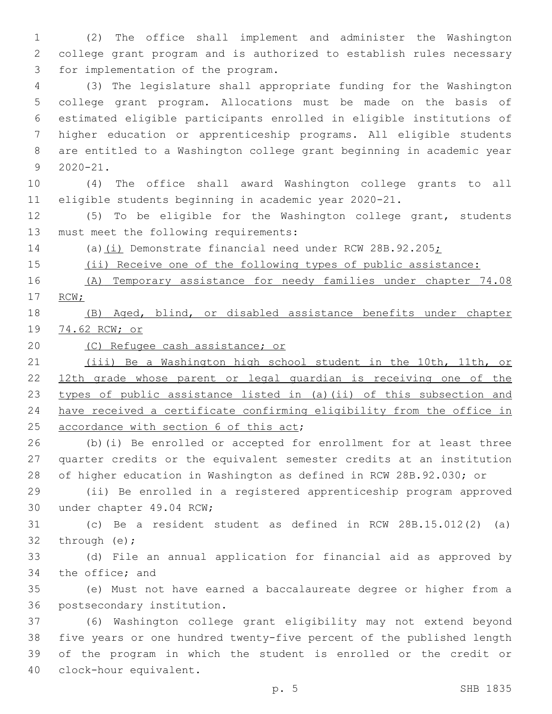(2) The office shall implement and administer the Washington college grant program and is authorized to establish rules necessary 3 for implementation of the program.

 (3) The legislature shall appropriate funding for the Washington college grant program. Allocations must be made on the basis of estimated eligible participants enrolled in eligible institutions of higher education or apprenticeship programs. All eligible students are entitled to a Washington college grant beginning in academic year  $2020 - 21$ .

 (4) The office shall award Washington college grants to all eligible students beginning in academic year 2020-21.

 (5) To be eligible for the Washington college grant, students 13 must meet the following requirements:

14 (a)(i) Demonstrate financial need under RCW 28B.92.205;

(ii) Receive one of the following types of public assistance:

 (A) Temporary assistance for needy families under chapter 74.08 RCW;

 (B) Aged, blind, or disabled assistance benefits under chapter 74.62 RCW; or

(C) Refugee cash assistance; or

 (iii) Be a Washington high school student in the 10th, 11th, or 12th grade whose parent or legal guardian is receiving one of the 23 types of public assistance listed in (a)(ii) of this subsection and have received a certificate confirming eligibility from the office in 25 accordance with section 6 of this act;

 (b)(i) Be enrolled or accepted for enrollment for at least three quarter credits or the equivalent semester credits at an institution of higher education in Washington as defined in RCW 28B.92.030; or

 (ii) Be enrolled in a registered apprenticeship program approved 30 under chapter 49.04 RCW;

 (c) Be a resident student as defined in RCW 28B.15.012(2) (a) 32 through  $(e)$ ;

 (d) File an annual application for financial aid as approved by 34 the office; and

 (e) Must not have earned a baccalaureate degree or higher from a 36 postsecondary institution.

 (6) Washington college grant eligibility may not extend beyond five years or one hundred twenty-five percent of the published length of the program in which the student is enrolled or the credit or 40 clock-hour equivalent.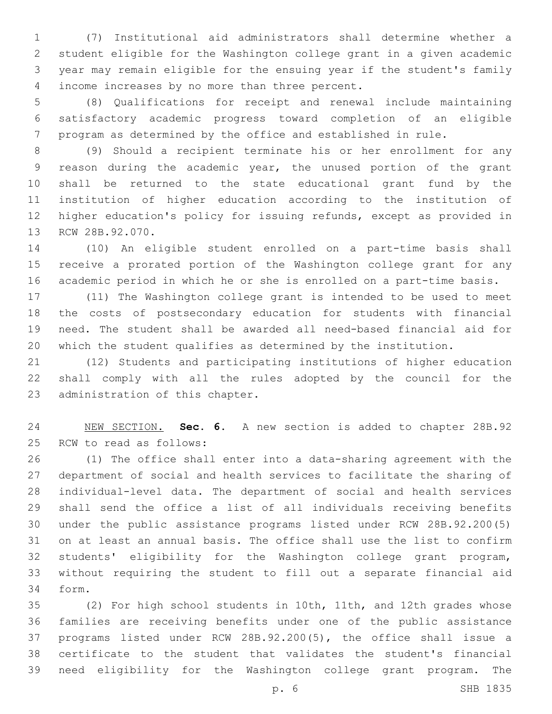(7) Institutional aid administrators shall determine whether a student eligible for the Washington college grant in a given academic year may remain eligible for the ensuing year if the student's family 4 income increases by no more than three percent.

 (8) Qualifications for receipt and renewal include maintaining satisfactory academic progress toward completion of an eligible program as determined by the office and established in rule.

 (9) Should a recipient terminate his or her enrollment for any reason during the academic year, the unused portion of the grant shall be returned to the state educational grant fund by the institution of higher education according to the institution of higher education's policy for issuing refunds, except as provided in 13 RCW 28B.92.070.

 (10) An eligible student enrolled on a part-time basis shall receive a prorated portion of the Washington college grant for any academic period in which he or she is enrolled on a part-time basis.

 (11) The Washington college grant is intended to be used to meet the costs of postsecondary education for students with financial need. The student shall be awarded all need-based financial aid for which the student qualifies as determined by the institution.

 (12) Students and participating institutions of higher education shall comply with all the rules adopted by the council for the 23 administration of this chapter.

 NEW SECTION. **Sec. 6.** A new section is added to chapter 28B.92 25 RCW to read as follows:

 (1) The office shall enter into a data-sharing agreement with the department of social and health services to facilitate the sharing of individual-level data. The department of social and health services shall send the office a list of all individuals receiving benefits under the public assistance programs listed under RCW 28B.92.200(5) on at least an annual basis. The office shall use the list to confirm students' eligibility for the Washington college grant program, without requiring the student to fill out a separate financial aid form.34

 (2) For high school students in 10th, 11th, and 12th grades whose families are receiving benefits under one of the public assistance programs listed under RCW 28B.92.200(5), the office shall issue a certificate to the student that validates the student's financial need eligibility for the Washington college grant program. The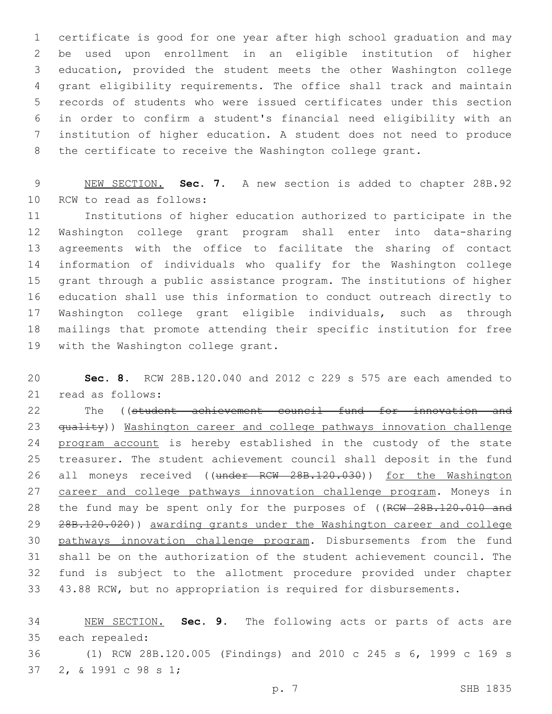certificate is good for one year after high school graduation and may be used upon enrollment in an eligible institution of higher education, provided the student meets the other Washington college grant eligibility requirements. The office shall track and maintain records of students who were issued certificates under this section in order to confirm a student's financial need eligibility with an institution of higher education. A student does not need to produce the certificate to receive the Washington college grant.

 NEW SECTION. **Sec. 7.** A new section is added to chapter 28B.92 10 RCW to read as follows:

 Institutions of higher education authorized to participate in the Washington college grant program shall enter into data-sharing agreements with the office to facilitate the sharing of contact information of individuals who qualify for the Washington college grant through a public assistance program. The institutions of higher education shall use this information to conduct outreach directly to Washington college grant eligible individuals, such as through mailings that promote attending their specific institution for free 19 with the Washington college grant.

 **Sec. 8.** RCW 28B.120.040 and 2012 c 229 s 575 are each amended to 21 read as follows:

22 The ((student achievement council fund for innovation and 23 <del>quality</del>)) Washington career and college pathways innovation challenge 24 program account is hereby established in the custody of the state treasurer. The student achievement council shall deposit in the fund 26 all moneys received ((under RCW 28B.120.030)) for the Washington career and college pathways innovation challenge program. Moneys in 28 the fund may be spent only for the purposes of ((RCW 28B.120.010 and 28B.120.020)) awarding grants under the Washington career and college pathways innovation challenge program. Disbursements from the fund shall be on the authorization of the student achievement council. The fund is subject to the allotment procedure provided under chapter 43.88 RCW, but no appropriation is required for disbursements.

 NEW SECTION. **Sec. 9.** The following acts or parts of acts are each repealed:

 (1) RCW 28B.120.005 (Findings) and 2010 c 245 s 6, 1999 c 169 s 37 2, & 1991 c 98 s 1;